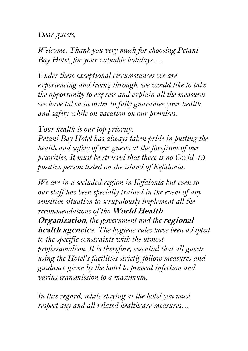*Dear guests,*

*Welcome. Thank you very much for choosing Petani Bay Hotel, for your valuable holidays….*

*Under these exceptional circumstances we are experiencing and living through, we would like to take the opportunity to express and explain all the measures we have taken in order to fully guarantee your health and safety while on vacation on our premises.*

*Your health is our top priority. Petani Bay Hotel has always taken pride in putting the health and safety of our guests at the forefront of our priorities. It must be stressed that there is no Covid-19 positive person tested on the island of Kefalonia.*

*We are in a secluded region in Kefalonia but even so our staff has been specially trained in the event of any sensitive situation to scrupulously implement all the recommendations of the* **World Health Organization***, the government and the* **regional health agencies***. The hygiene rules have been adapted to the specific constraints with the utmost professionalism. It is therefore, essential that all guests using the Hotel's facilities strictly follow measures and guidance given by the hotel to prevent infection and varius transmission to a maximum.*

*In this regard, while staying at the hotel you must respect any and all related healthcare measures…*